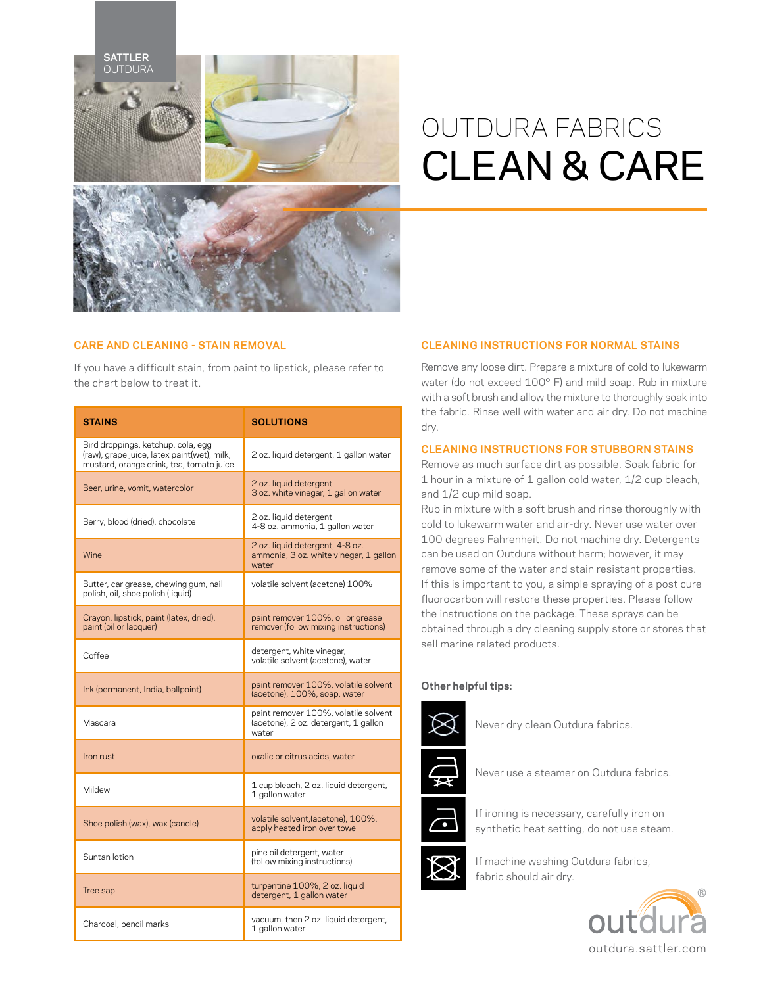

# OUTDURA FABRICS CLEAN & CARE

## **CARE AND CLEANING - STAIN REMOVAL**

If you have a difficult stain, from paint to lipstick, please refer to the chart below to treat it.

| <b>STAINS</b>                                                                                                                 | <b>SOLUTIONS</b>                                                                      |
|-------------------------------------------------------------------------------------------------------------------------------|---------------------------------------------------------------------------------------|
| Bird droppings, ketchup, cola, egg<br>(raw), grape juice, latex paint(wet), milk,<br>mustard, orange drink, tea, tomato juice | 2 oz. liquid detergent, 1 gallon water                                                |
| Beer, urine, vomit, watercolor                                                                                                | 2 oz. liquid detergent<br>3 oz. white vinegar, 1 gallon water                         |
| Berry, blood (dried), chocolate                                                                                               | 2 oz. liguid detergent<br>4-8 oz. ammonia, 1 gallon water                             |
| Wine                                                                                                                          | 2 oz. liquid detergent, 4-8 oz.<br>ammonia, 3 oz. white vinegar, 1 gallon<br>water    |
| Butter, car grease, chewing gum, nail<br>polish, oil, shoe polish (liquid)                                                    | volatile solvent (acetone) 100%                                                       |
| Crayon, lipstick, paint (latex, dried),<br>paint (oil or lacquer)                                                             | paint remover 100%, oil or grease<br>remover (follow mixing instructions)             |
| Coffee                                                                                                                        | detergent, white vinegar,<br>volatile solvent (acetone), water                        |
| Ink (permanent, India, ballpoint)                                                                                             | paint remover 100%, volatile solvent<br>(acetone), 100%, soap, water                  |
| Mascara                                                                                                                       | paint remover 100%, volatile solvent<br>(acetone), 2 oz. detergent, 1 gallon<br>water |
| Iron rust                                                                                                                     | oxalic or citrus acids, water                                                         |
| Mildew                                                                                                                        | 1 cup bleach, 2 oz. liquid detergent,<br>1 gallon water                               |
| Shoe polish (wax), wax (candle)                                                                                               | volatile solvent, (acetone), 100%,<br>apply heated iron over towel                    |
| Suntan lotion                                                                                                                 | pine oil detergent, water<br>(follow mixing instructions)                             |
| Tree sap                                                                                                                      | turpentine 100%, 2 oz. liquid<br>detergent, 1 gallon water                            |
| Charcoal, pencil marks                                                                                                        | vacuum, then 2 oz. liquid detergent,<br>1 gallon water                                |

## **CLEANING INSTRUCTIONS FOR NORMAL STAINS**

Remove any loose dirt. Prepare a mixture of cold to lukewarm water (do not exceed 100° F) and mild soap. Rub in mixture with a soft brush and allow the mixture to thoroughly soak into the fabric. Rinse well with water and air dry. Do not machine dry.

## **CLEANING INSTRUCTIONS FOR STUBBORN STAINS**

Remove as much surface dirt as possible. Soak fabric for 1 hour in a mixture of 1 gallon cold water, 1/2 cup bleach, and 1/2 cup mild soap.

Rub in mixture with a soft brush and rinse thoroughly with cold to lukewarm water and air-dry. Never use water over 100 degrees Fahrenheit. Do not machine dry. Detergents can be used on Outdura without harm; however, it may remove some of the water and stain resistant properties. If this is important to you, a simple spraying of a post cure fluorocarbon will restore these properties. Please follow the instructions on the package. These sprays can be obtained through a dry cleaning supply store or stores that sell marine related products.

### **Other helpful tips:**



Never dry clean Outdura fabrics.



Never use a steamer on Outdura fabrics.



If ironing is necessary, carefully iron on synthetic heat setting, do not use steam.



If machine washing Outdura fabrics, fabric should air dry.